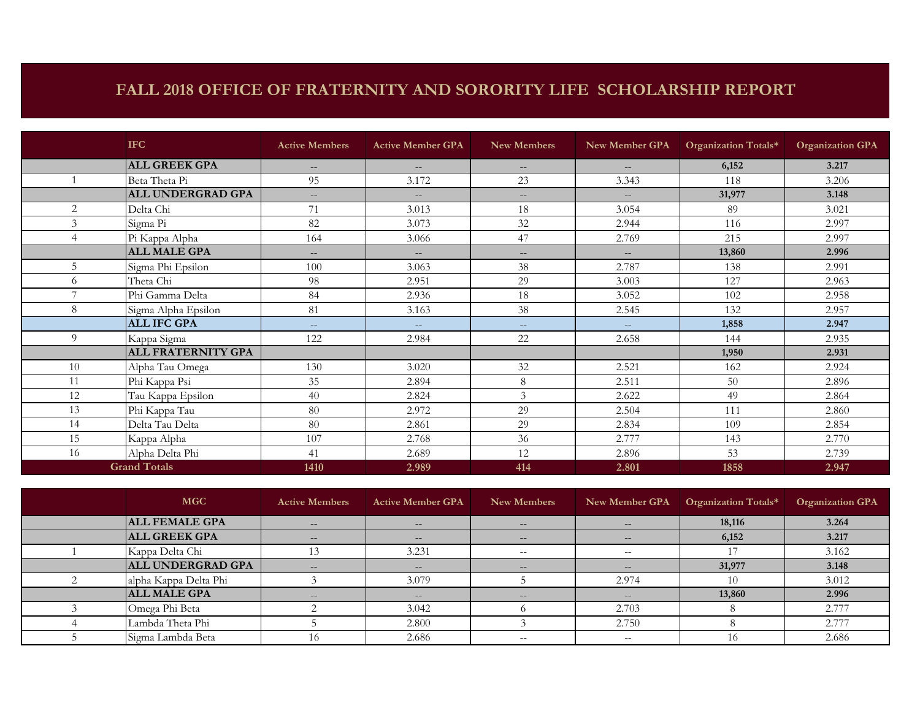## **FALL 2018 OFFICE OF FRATERNITY AND SORORITY LIFE SCHOLARSHIP REPORT**

|                | <b>IFC</b>                | <b>Active Members</b> | <b>Active Member GPA</b> | <b>New Members</b> | New Member GPA    | Organization Totals* | <b>Organization GPA</b> |
|----------------|---------------------------|-----------------------|--------------------------|--------------------|-------------------|----------------------|-------------------------|
|                | <b>ALL GREEK GPA</b>      | $\qquad \qquad -$     | $\qquad \qquad -$        | $\qquad \qquad -$  | $--$              | 6,152                | 3.217                   |
|                | Beta Theta Pi             | 95                    | 3.172                    | 23                 | 3.343             | 118                  | 3.206                   |
|                | <b>ALL UNDERGRAD GPA</b>  | $\qquad \qquad -$     | $\qquad \qquad -$        | $\qquad \qquad -$  | $\qquad \qquad -$ | 31,977               | 3.148                   |
| 2              | Delta Chi                 | 71                    | 3.013                    | 18                 | 3.054             | 89                   | 3.021                   |
| $\mathfrak{Z}$ | Sigma Pi                  | 82                    | 3.073                    | 32                 | 2.944             | 116                  | 2.997                   |
| 4              | Pi Kappa Alpha            | 164                   | 3.066                    | 47                 | 2.769             | 215                  | 2.997                   |
|                | <b>ALL MALE GPA</b>       | $\frac{1}{2}$         | $\qquad \qquad -$        | $\qquad \qquad -$  | $\frac{1}{2}$     | 13,860               | 2.996                   |
| 5              | Sigma Phi Epsilon         | 100                   | 3.063                    | 38                 | 2.787             | 138                  | 2.991                   |
| 6              | Theta Chi                 | 98                    | 2.951                    | 29                 | 3.003             | 127                  | 2.963                   |
| $\overline{7}$ | Phi Gamma Delta           | 84                    | 2.936                    | 18                 | 3.052             | 102                  | 2.958                   |
| 8              | Sigma Alpha Epsilon       | 81                    | 3.163                    | 38                 | 2.545             | 132                  | 2.957                   |
|                | <b>ALL IFC GPA</b>        | $---$                 | $---$                    | $--$               | $---$             | 1,858                | 2.947                   |
| 9              | Kappa Sigma               | 122                   | 2.984                    | 22                 | 2.658             | 144                  | 2.935                   |
|                | <b>ALL FRATERNITY GPA</b> |                       |                          |                    |                   | 1,950                | 2.931                   |
| 10             | Alpha Tau Omega           | 130                   | 3.020                    | 32                 | 2.521             | 162                  | 2.924                   |
| 11             | Phi Kappa Psi             | 35                    | 2.894                    | 8                  | 2.511             | 50                   | 2.896                   |
| 12             | Tau Kappa Epsilon         | 40                    | 2.824                    | 3                  | 2.622             | 49                   | 2.864                   |
| 13             | Phi Kappa Tau             | 80                    | 2.972                    | 29                 | 2.504             | 111                  | 2.860                   |
| 14             | Delta Tau Delta           | 80                    | 2.861                    | 29                 | 2.834             | 109                  | 2.854                   |
| 15             | Kappa Alpha               | 107                   | 2.768                    | 36                 | 2.777             | 143                  | 2.770                   |
| 16             | Alpha Delta Phi           | 41                    | 2.689                    | 12                 | 2.896             | 53                   | 2.739                   |
|                | <b>Grand Totals</b>       | 1410                  | 2.989                    | 414                | 2.801             | 1858                 | 2.947                   |

| <b>MGC</b>               | <b>Active Members</b> | <b>Active Member GPA</b> | New Members       | New Member GPA                                 | Organization Totals* | <b>Organization GPA</b> |
|--------------------------|-----------------------|--------------------------|-------------------|------------------------------------------------|----------------------|-------------------------|
| <b>ALL FEMALE GPA</b>    | $\qquad \qquad -$     | $\qquad \qquad -$        | $\qquad \qquad -$ | $\qquad \qquad -$                              | 18,116               | 3.264                   |
| <b>ALL GREEK GPA</b>     | $- -$                 | $--$                     | $- -$             | $- -$                                          | 6,152                | 3.217                   |
| Kappa Delta Chi          |                       | 3.231                    | $- -$             | $- -$                                          |                      | 3.162                   |
| <b>ALL UNDERGRAD GPA</b> | $\qquad \qquad -$     | $- -$                    | $- -$             | $\hspace{0.1mm}-\hspace{0.1mm}-\hspace{0.1mm}$ | 31,977               | 3.148                   |
| alpha Kappa Delta Phi    |                       | 3.079                    |                   | 2.974                                          | 10                   | 3.012                   |
| <b>ALL MALE GPA</b>      | $- -$                 | $\qquad \qquad -$        | $\qquad \qquad -$ | $\qquad \qquad -$                              | 13,860               | 2.996                   |
| Omega Phi Beta           |                       | 3.042                    |                   | 2.703                                          |                      | 2.777                   |
| Lambda Theta Phi         |                       | 2.800                    |                   | 2.750                                          |                      | 2.777                   |
| Sigma Lambda Beta        | 10                    | 2.686                    | $- -$             | $- -$                                          | 16                   | 2.686                   |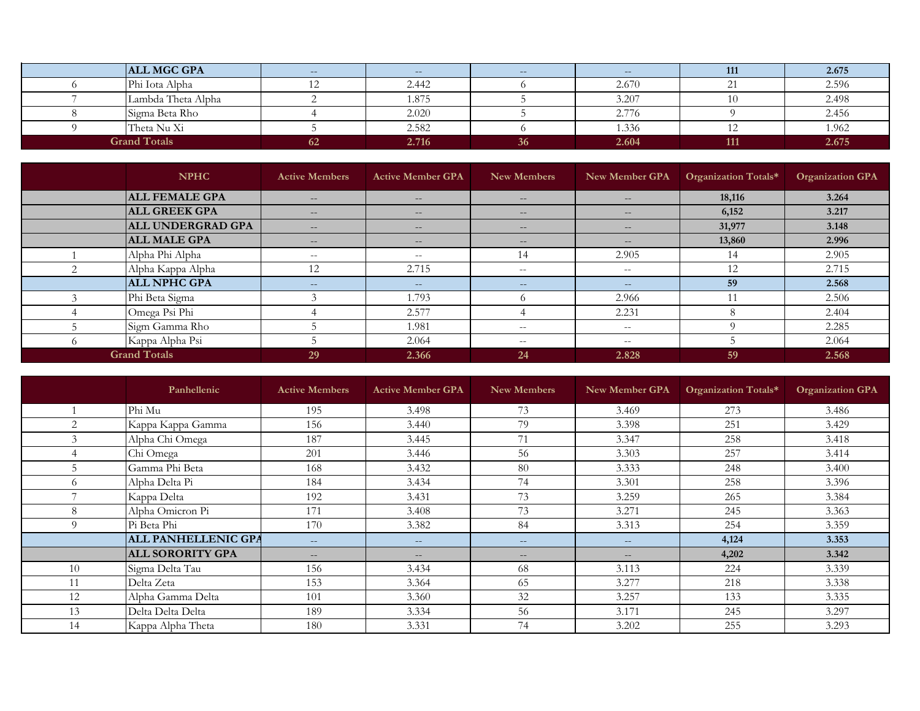| <b>ALL MGC GPA</b>  | $\overline{\phantom{m}}$ | $- -$ | $--$ | $\qquad \qquad -$ | 111 | 2.675 |
|---------------------|--------------------------|-------|------|-------------------|-----|-------|
| Phi Iota Alpha      |                          | 2.442 |      | 2.670             |     | 2.596 |
| Lambda Theta Alpha  |                          | 1.875 |      | 3.207             |     | 2.498 |
| Sigma Beta Rho      |                          | 2.020 |      | 2.776             |     | 2.456 |
| Theta Nu Xi         |                          | 2.582 |      | 1.336             |     | 1.962 |
| <b>Grand Totals</b> | 62.                      | 2.716 | 36   | 2.604             | 111 | 2.675 |

|          | <b>NPHC</b>              | <b>Active Members</b> | <b>Active Member GPA</b> | New Members       | New Member GPA    | Organization Totals* | <b>Organization GPA</b> |
|----------|--------------------------|-----------------------|--------------------------|-------------------|-------------------|----------------------|-------------------------|
|          | <b>ALL FEMALE GPA</b>    | $\qquad \qquad -$     | $\qquad \qquad -$        | $\qquad \qquad -$ | $\qquad \qquad -$ | 18,116               | 3.264                   |
|          | <b>ALL GREEK GPA</b>     | $\qquad \qquad -$     | $\qquad \qquad -$        | $- -$             | $\qquad \qquad -$ | 6,152                | 3.217                   |
|          | <b>ALL UNDERGRAD GPA</b> | $\qquad \qquad -$     | $\qquad \qquad -$        | $- -$             | $\qquad \qquad -$ | 31,977               | 3.148                   |
|          | <b>ALL MALE GPA</b>      | $\qquad \qquad -$     | $-\,-$                   | $\qquad \qquad -$ | $\qquad \qquad -$ | 13,860               | 2.996                   |
|          | Alpha Phi Alpha          | $- -$                 | $-\,-$                   | 14                | 2.905             | 14                   | 2.905                   |
| 2        | Alpha Kappa Alpha        | 12                    | 2.715                    | $- -$             | $\sim$ $-$        | 12                   | 2.715                   |
|          | <b>ALL NPHC GPA</b>      | $- -$                 | $--$                     | $--$              | $- -$             | 59                   | 2.568                   |
|          | Phi Beta Sigma           |                       | 1.793                    |                   | 2.966             |                      | 2.506                   |
|          | Omega Psi Phi            |                       | 2.577                    |                   | 2.231             |                      | 2.404                   |
|          | Sigm Gamma Rho           |                       | 1.981                    | $- -$             | $\sim$ $-$        |                      | 2.285                   |
| $\Omega$ | Kappa Alpha Psi          |                       | 2.064                    | $- -$             | $\sim$ $-$        |                      | 2.064                   |
|          | <b>Grand Totals</b>      | 29                    | 2.366                    | 24                | 2.828             | 59                   | 2.568                   |

|                | Panhellenic                | <b>Active Members</b> | <b>Active Member GPA</b> | New Members | New Member GPA    | Organization Totals* | <b>Organization GPA</b> |
|----------------|----------------------------|-----------------------|--------------------------|-------------|-------------------|----------------------|-------------------------|
|                | Phi Mu                     | 195                   | 3.498                    | 73          | 3.469             | 273                  | 3.486                   |
| $\overline{c}$ | Kappa Kappa Gamma          | 156                   | 3.440                    | 79          | 3.398             | 251                  | 3.429                   |
| $\Delta$       | Alpha Chi Omega            | 187                   | 3.445                    | 71          | 3.347             | 258                  | 3.418                   |
|                | Chi Omega                  | 201                   | 3.446                    | 56          | 3.303             | 257                  | 3.414                   |
|                | Gamma Phi Beta             | 168                   | 3.432                    | 80          | 3.333             | 248                  | 3.400                   |
| $\sigma$       | Alpha Delta Pi             | 184                   | 3.434                    | 74          | 3.301             | 258                  | 3.396                   |
|                | Kappa Delta                | 192                   | 3.431                    | 73          | 3.259             | 265                  | 3.384                   |
| 8              | Alpha Omicron Pi           | 171                   | 3.408                    | 73          | 3.271             | 245                  | 3.363                   |
| $\Omega$       | Pi Beta Phi                | 170                   | 3.382                    | 84          | 3.313             | 254                  | 3.359                   |
|                | <b>ALL PANHELLENIC GPA</b> | $- -$                 | $\qquad \qquad -$        | $- -$       | $--$              | 4,124                | 3.353                   |
|                | <b>ALL SORORITY GPA</b>    | $- -$                 | $\qquad \qquad -$        | $- -$       | $\qquad \qquad -$ | 4,202                | 3.342                   |
| 10             | Sigma Delta Tau            | 156                   | 3.434                    | 68          | 3.113             | 224                  | 3.339                   |
|                | Delta Zeta                 | 153                   | 3.364                    | 65          | 3.277             | 218                  | 3.338                   |
| 12             | Alpha Gamma Delta          | 101                   | 3.360                    | 32          | 3.257             | 133                  | 3.335                   |
| 13             | Delta Delta Delta          | 189                   | 3.334                    | 56          | 3.171             | 245                  | 3.297                   |
| 14             | Kappa Alpha Theta          | 180                   | 3.331                    | 74          | 3.202             | 255                  | 3.293                   |